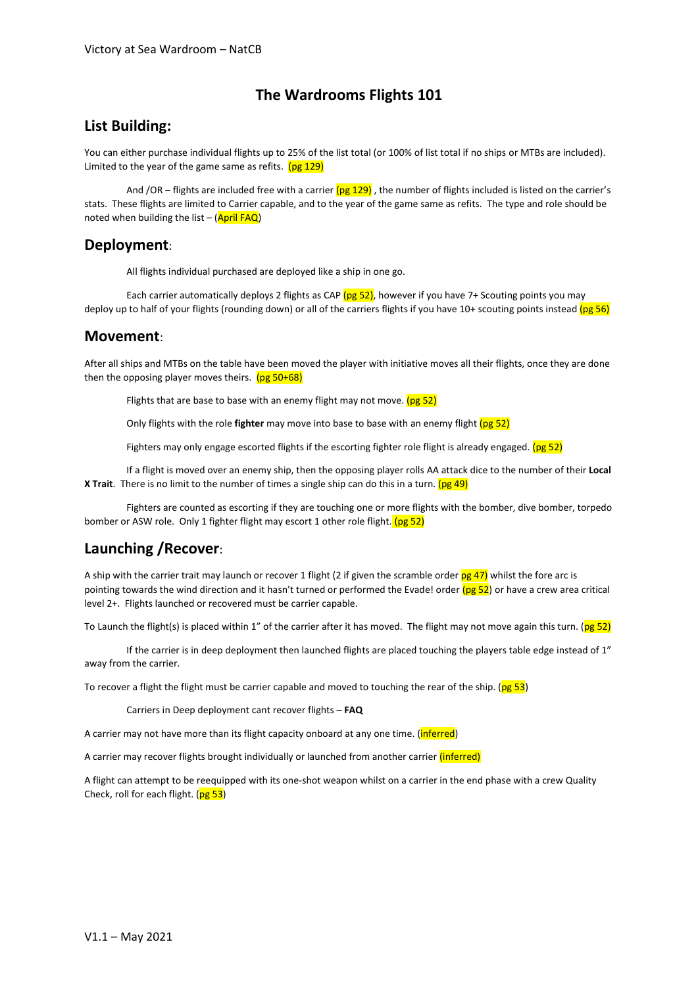# **The Wardrooms Flights 101**

#### **List Building:**

You can either purchase individual flights up to 25% of the list total (or 100% of list total if no ships or MTBs are included). Limited to the year of the game same as refits.  $(pg 129)$ 

And /OR – flights are included free with a carrier  $(pg 129)$ , the number of flights included is listed on the carrier's stats. These flights are limited to Carrier capable, and to the year of the game same as refits. The type and role should be noted when building the list –  $(April FAQ)$ 

#### **Deployment**:

All flights individual purchased are deployed like a ship in one go.

Each carrier automatically deploys 2 flights as CAP ( $pg$  52), however if you have 7+ Scouting points you may deploy up to half of your flights (rounding down) or all of the carriers flights if you have 10+ scouting points instead ( $pg 56$ )

#### **Movement**:

After all ships and MTBs on the table have been moved the player with initiative moves all their flights, once they are done then the opposing player moves theirs.  $(pg\ 50+68)$ 

Flights that are base to base with an enemy flight may not move.  $(pg 52)$ 

Only flights with the role **fighter** may move into base to base with an enemy flight (pg 52)

Fighters may only engage escorted flights if the escorting fighter role flight is already engaged. (pg 52)

If a flight is moved over an enemy ship, then the opposing player rolls AA attack dice to the number of their **Local X Trait**. There is no limit to the number of times a single ship can do this in a turn. (pg 49)

Fighters are counted as escorting if they are touching one or more flights with the bomber, dive bomber, torpedo bomber or ASW role. Only 1 fighter flight may escort 1 other role flight. (pg 52)

# **Launching /Recover**:

A ship with the carrier trait may launch or recover 1 flight (2 if given the scramble order  $pg$  47) whilst the fore arc is pointing towards the wind direction and it hasn't turned or performed the Evade! order  $(pg 52)$  or have a crew area critical level 2+. Flights launched or recovered must be carrier capable.

To Launch the flight(s) is placed within 1" of the carrier after it has moved. The flight may not move again this turn. ( $pg 52$ )

If the carrier is in deep deployment then launched flights are placed touching the players table edge instead of 1" away from the carrier.

To recover a flight the flight must be carrier capable and moved to touching the rear of the ship. ( $pg 53$ )

Carriers in Deep deployment cant recover flights – **FAQ**

A carrier may not have more than its flight capacity onboard at any one time. (*inferred*)

A carrier may recover flights brought individually or launched from another carrier (inferred)

A flight can attempt to be reequipped with its one-shot weapon whilst on a carrier in the end phase with a crew Quality Check, roll for each flight.  $(pg 53)$